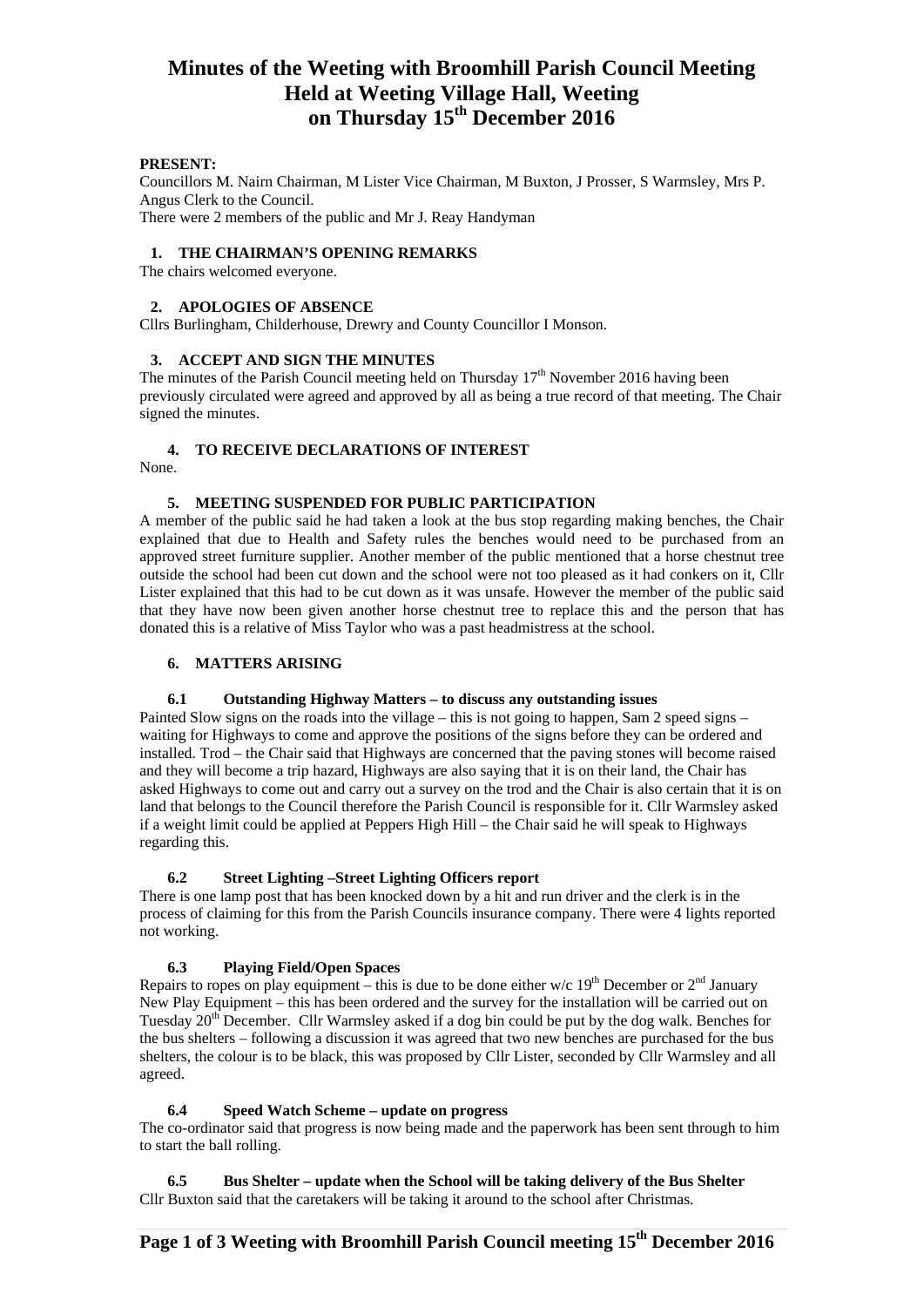# **Minutes of the Weeting with Broomhill Parish Council Meeting Held at Weeting Village Hall, Weeting on Thursday 15th December 2016**

#### **PRESENT:**

Councillors M. Nairn Chairman, M Lister Vice Chairman, M Buxton, J Prosser, S Warmsley, Mrs P. Angus Clerk to the Council. There were 2 members of the public and Mr J. Reay Handyman

#### **1. THE CHAIRMAN'S OPENING REMARKS**

The chairs welcomed everyone.

#### **2. APOLOGIES OF ABSENCE**

Cllrs Burlingham, Childerhouse, Drewry and County Councillor I Monson.

#### **3. ACCEPT AND SIGN THE MINUTES**

The minutes of the Parish Council meeting held on Thursday  $17<sup>th</sup>$  November 2016 having been previously circulated were agreed and approved by all as being a true record of that meeting. The Chair signed the minutes.

#### **4. TO RECEIVE DECLARATIONS OF INTEREST**

None.

#### **5. MEETING SUSPENDED FOR PUBLIC PARTICIPATION**

A member of the public said he had taken a look at the bus stop regarding making benches, the Chair explained that due to Health and Safety rules the benches would need to be purchased from an approved street furniture supplier. Another member of the public mentioned that a horse chestnut tree outside the school had been cut down and the school were not too pleased as it had conkers on it, Cllr Lister explained that this had to be cut down as it was unsafe. However the member of the public said that they have now been given another horse chestnut tree to replace this and the person that has donated this is a relative of Miss Taylor who was a past headmistress at the school.

#### **6. MATTERS ARISING**

#### **6.1 Outstanding Highway Matters – to discuss any outstanding issues**

Painted Slow signs on the roads into the village – this is not going to happen, Sam 2 speed signs – waiting for Highways to come and approve the positions of the signs before they can be ordered and installed. Trod – the Chair said that Highways are concerned that the paving stones will become raised and they will become a trip hazard, Highways are also saying that it is on their land, the Chair has asked Highways to come out and carry out a survey on the trod and the Chair is also certain that it is on land that belongs to the Council therefore the Parish Council is responsible for it. Cllr Warmsley asked if a weight limit could be applied at Peppers High Hill – the Chair said he will speak to Highways regarding this.

#### **6.2 Street Lighting –Street Lighting Officers report**

There is one lamp post that has been knocked down by a hit and run driver and the clerk is in the process of claiming for this from the Parish Councils insurance company. There were 4 lights reported not working.

#### **6.3 Playing Field/Open Spaces**

Repairs to ropes on play equipment – this is due to be done either w/c  $19<sup>th</sup>$  December or  $2<sup>nd</sup>$  January New Play Equipment – this has been ordered and the survey for the installation will be carried out on Tuesday  $20^{th}$  December. Cllr Warmsley asked if a dog bin could be put by the dog walk. Benches for the bus shelters – following a discussion it was agreed that two new benches are purchased for the bus shelters, the colour is to be black, this was proposed by Cllr Lister, seconded by Cllr Warmsley and all agreed.

#### **6.4 Speed Watch Scheme – update on progress**

The co-ordinator said that progress is now being made and the paperwork has been sent through to him to start the ball rolling.

**6.5 Bus Shelter – update when the School will be taking delivery of the Bus Shelter** Cllr Buxton said that the caretakers will be taking it around to the school after Christmas.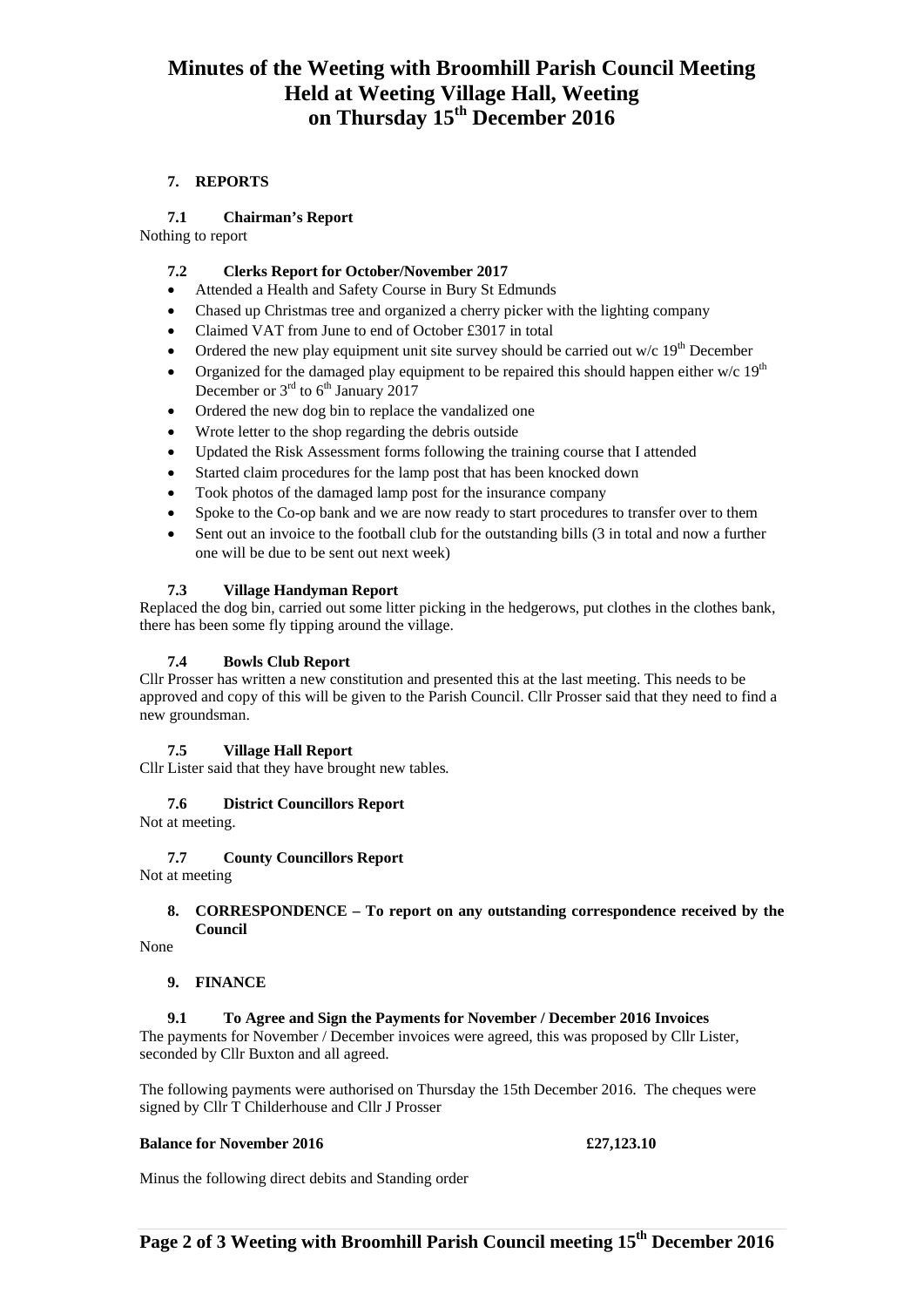# **Minutes of the Weeting with Broomhill Parish Council Meeting Held at Weeting Village Hall, Weeting on Thursday 15th December 2016**

## **7. REPORTS**

# **7.1 Chairman's Report**

Nothing to report

## **7.2 Clerks Report for October/November 2017**

- Attended a Health and Safety Course in Bury St Edmunds
- Chased up Christmas tree and organized a cherry picker with the lighting company
- Claimed VAT from June to end of October £3017 in total
- Ordered the new play equipment unit site survey should be carried out w/c  $19<sup>th</sup>$  December
- Organized for the damaged play equipment to be repaired this should happen either w/c  $19<sup>th</sup>$ December or  $3<sup>rd</sup>$  to  $6<sup>th</sup>$  January 2017
- Ordered the new dog bin to replace the vandalized one
- Wrote letter to the shop regarding the debris outside
- Updated the Risk Assessment forms following the training course that I attended
- Started claim procedures for the lamp post that has been knocked down
- Took photos of the damaged lamp post for the insurance company
- Spoke to the Co-op bank and we are now ready to start procedures to transfer over to them
- Sent out an invoice to the football club for the outstanding bills (3 in total and now a further one will be due to be sent out next week)

# **7.3 Village Handyman Report**

Replaced the dog bin, carried out some litter picking in the hedgerows, put clothes in the clothes bank, there has been some fly tipping around the village.

# **7.4 Bowls Club Report**

Cllr Prosser has written a new constitution and presented this at the last meeting. This needs to be approved and copy of this will be given to the Parish Council. Cllr Prosser said that they need to find a new groundsman.

## **7.5 Village Hall Report**

Cllr Lister said that they have brought new tables*.* 

## **7.6 District Councillors Report**

Not at meeting.

## **7.7 County Councillors Report**

Not at meeting

#### **8. CORRESPONDENCE – To report on any outstanding correspondence received by the Council**

None

## **9. FINANCE**

## **9.1 To Agree and Sign the Payments for November / December 2016 Invoices**

The payments for November / December invoices were agreed, this was proposed by Cllr Lister, seconded by Cllr Buxton and all agreed.

The following payments were authorised on Thursday the 15th December 2016. The cheques were signed by Cllr T Childerhouse and Cllr J Prosser

## **Balance for November 2016 £27,123.10**

Minus the following direct debits and Standing order